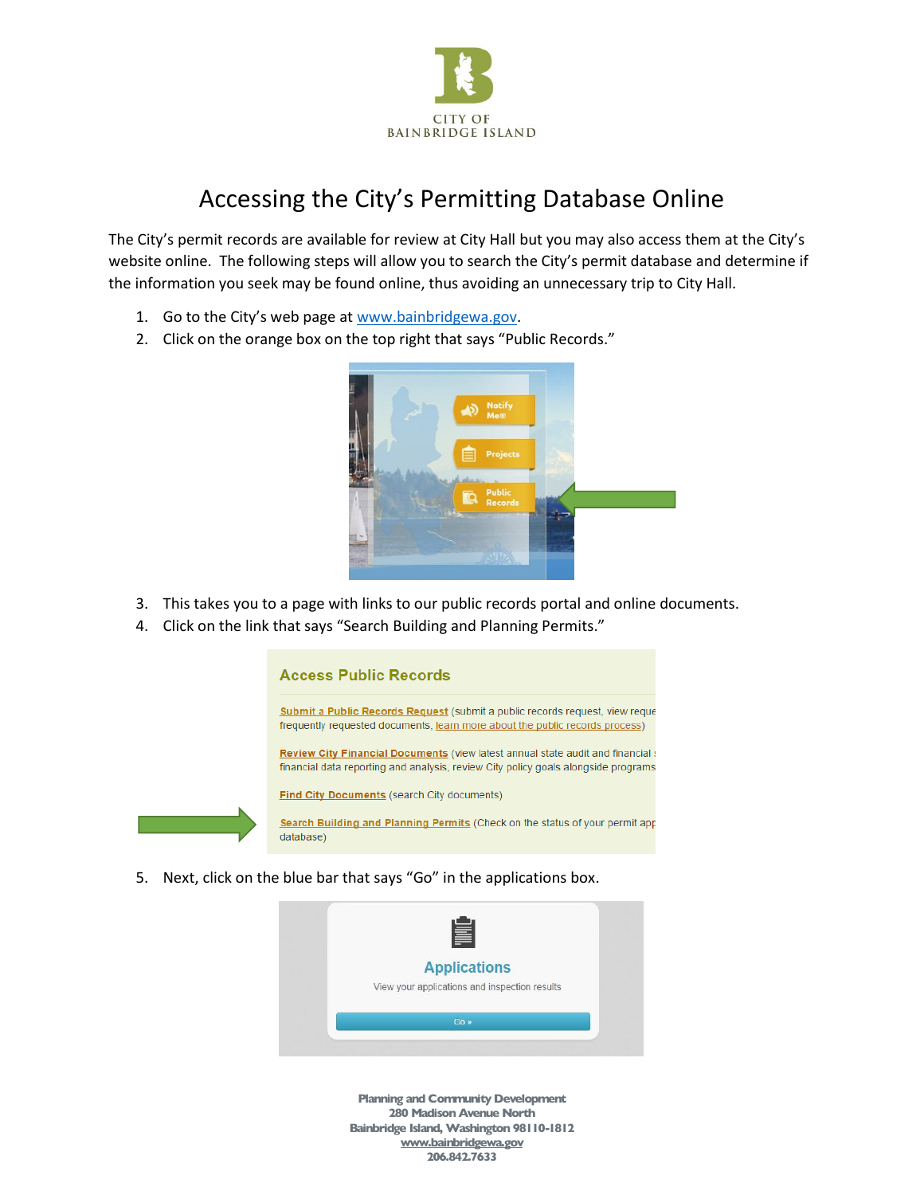

## Accessing the City's Permitting Database Online

The City's permit records are available for review at City Hall but you may also access them at the City's website online. The following steps will allow you to search the City's permit database and determine if the information you seek may be found online, thus avoiding an unnecessary trip to City Hall.

- 1. Go to the City's web page at [www.bainbridgewa.gov.](http://www.bainbridgewa.gov/)
- 2. Click on the orange box on the top right that says "Public Records."



- 3. This takes you to a page with links to our public records portal and online documents.
- 4. Click on the link that says "Search Building and Planning Permits."



5. Next, click on the blue bar that says "Go" in the applications box.

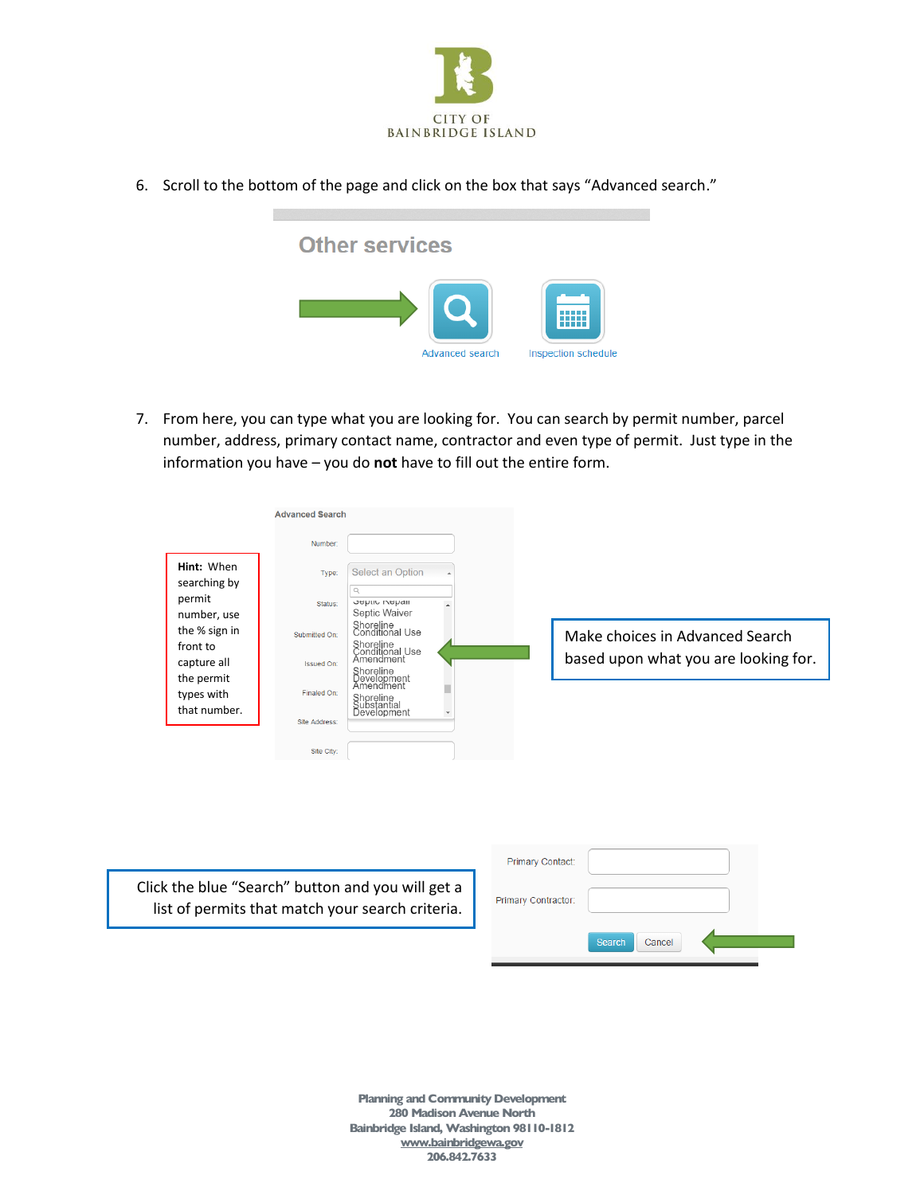

6. Scroll to the bottom of the page and click on the box that says "Advanced search."



7. From here, you can type what you are looking for. You can search by permit number, parcel number, address, primary contact name, contractor and even type of permit. Just type in the information you have – you do **not** have to fill out the entire form.

|                            | <b>Advanced Search</b> |                                               |              |                                      |
|----------------------------|------------------------|-----------------------------------------------|--------------|--------------------------------------|
|                            | Number:                |                                               |              |                                      |
| Hint: When<br>searching by | Type:                  | Select an Option                              | $\Delta$     |                                      |
| permit<br>number, use      | Status:                | Q<br><b>JUPILIO INDINAIL</b><br>Septic Waiver |              |                                      |
| the % sign in              | Submitted On:          | Shoreline<br>Conditional Use                  |              | Make choices in Advanced Search      |
| front to<br>capture all    | Issued On:             | Shoreline<br>Conditional Use<br>Amendment     |              | based upon what you are looking for. |
| the permit<br>types with   | Finaled On:            | Shoreline<br>Development<br>Amendment         |              |                                      |
| that number.               | Site Address:          | Shoreline<br>Substantial<br>Development       | $\mathbf{v}$ |                                      |
|                            |                        |                                               |              |                                      |
|                            | Site City:             |                                               |              |                                      |

Click the blue "Search" button and you will get a list of permits that match your search criteria.

| Primary Contact:    |                  |  |
|---------------------|------------------|--|
| Primary Contractor: |                  |  |
|                     | Search<br>Cancel |  |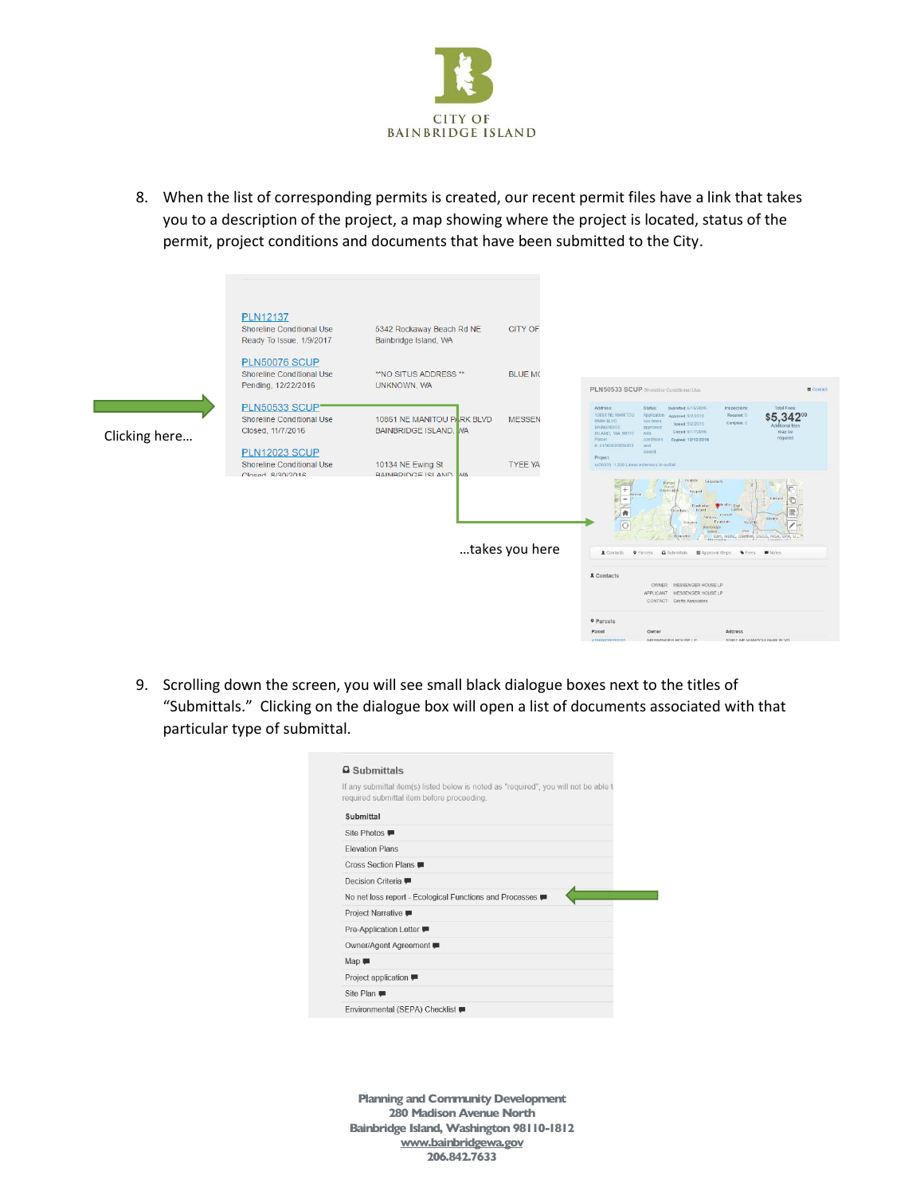

8. When the list of corresponding permits is created, our recent permit files have a link that takes you to a description of the project, a map showing where the project is located, status of the permit, project conditions and documents that have been submitted to the City.



9. Scrolling down the screen, you will see small black dialogue boxes next to the titles of "Submittals." Clicking on the dialogue box will open a list of documents associated with that particular type of submittal.

| $\Box$ Submittals              |                                                                                                                                     |
|--------------------------------|-------------------------------------------------------------------------------------------------------------------------------------|
|                                | If any submittal item(s) listed below is noted as "required", you will not be able to<br>required submittal item before proceeding. |
| Submittal                      |                                                                                                                                     |
| Site Photos ■                  |                                                                                                                                     |
| <b>Flevation Plans</b>         |                                                                                                                                     |
| Cross Section Plans ■          |                                                                                                                                     |
| Decision Criteria ■            |                                                                                                                                     |
|                                | No net loss report - Ecological Functions and Processes                                                                             |
| Project Narrative <del>■</del> |                                                                                                                                     |
| Pre-Application Letter ■       |                                                                                                                                     |
| Owner/Agent Agreement ■        |                                                                                                                                     |
| $Map$ $\blacksquare$           |                                                                                                                                     |
| Project application ■          |                                                                                                                                     |
| Site Plan                      |                                                                                                                                     |
| Environmental (SEPA) Checklist |                                                                                                                                     |